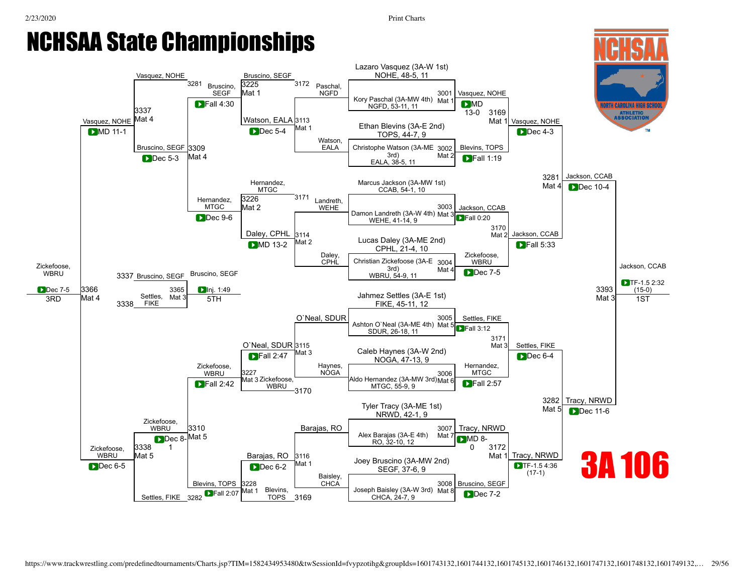# NCHSAA State Championships

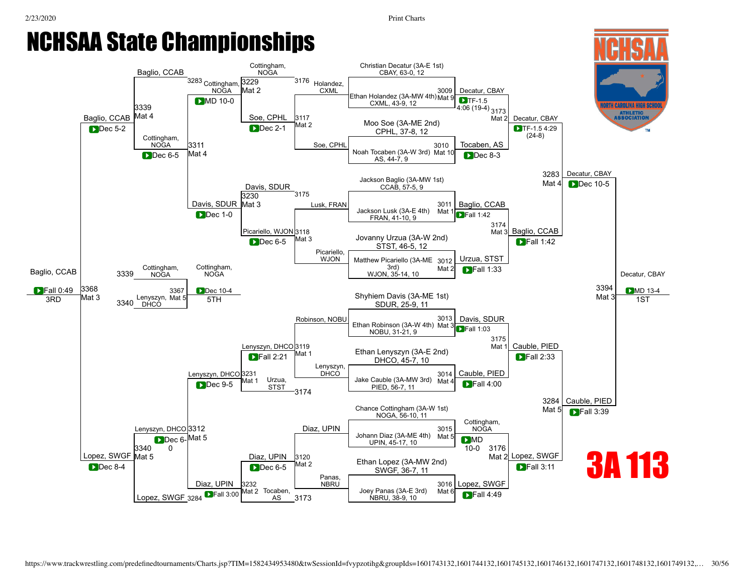### 2/23/2020 Print Charts NCHSAA State Championships [Baglio,](javascript:viewProfile(10371071)) CCAB [Baglio,](javascript:viewProfile(10371071)) CCAB <sup>3283</sup> Cottingham, [3229](javascript:openBoutSheet(18,) NOGA Cottingham, NOGA <sup>3176</sup> [Holandez](javascript:viewProfile(1720615132)), **CXML** [3339](javascript:openBoutSheet(25,) Mat 4 Mat 2 [Soe,](javascript:viewProfile(378371132)) CPHL [3117](javascript:openBoutSheet(10,) Mat 2 Dec 2-1

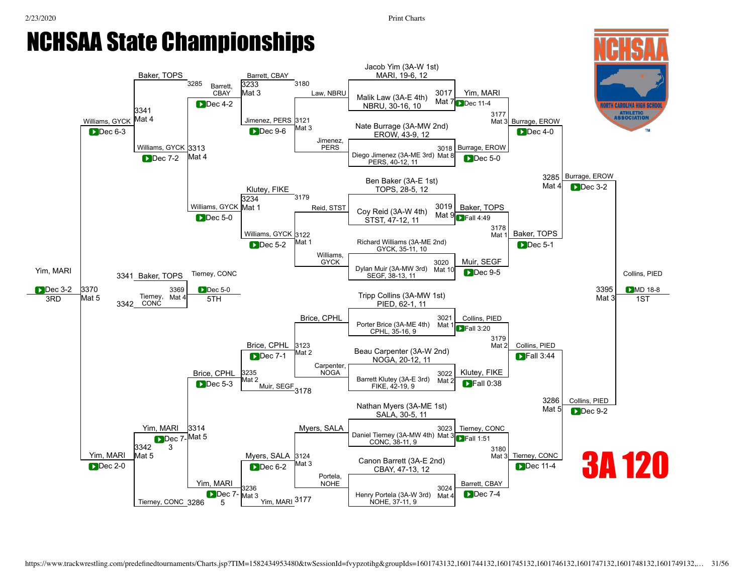## NCHSAA State Championships Baker, TOPS <sup>3285</sup> Barrett, CBAY Barrett, CBAY 3180 [Law](javascript:viewProfile(41109076)), NBRU [3233](javascript:openBoutSheet(18,)

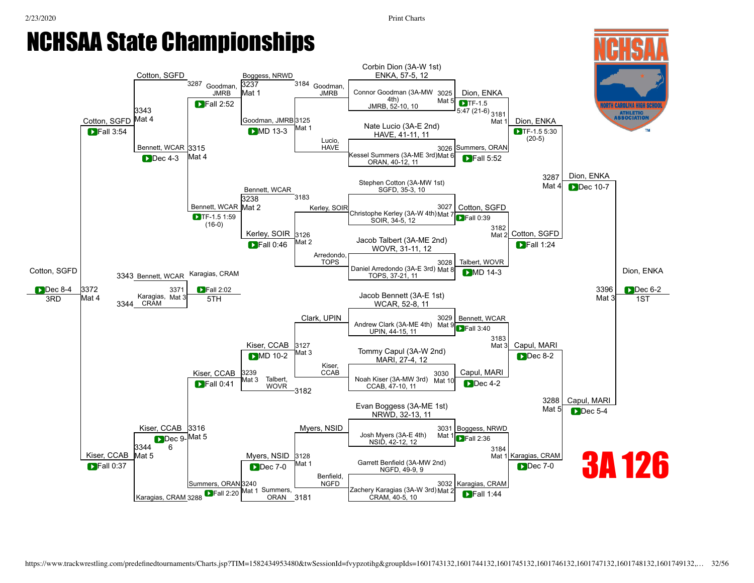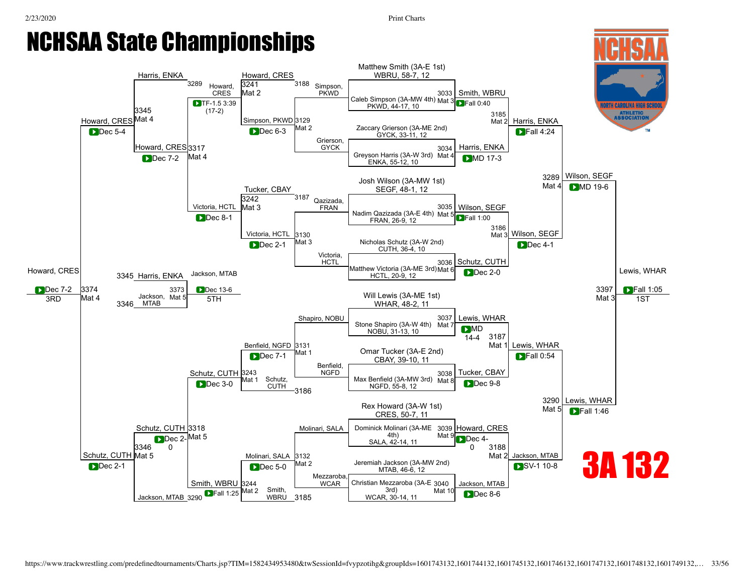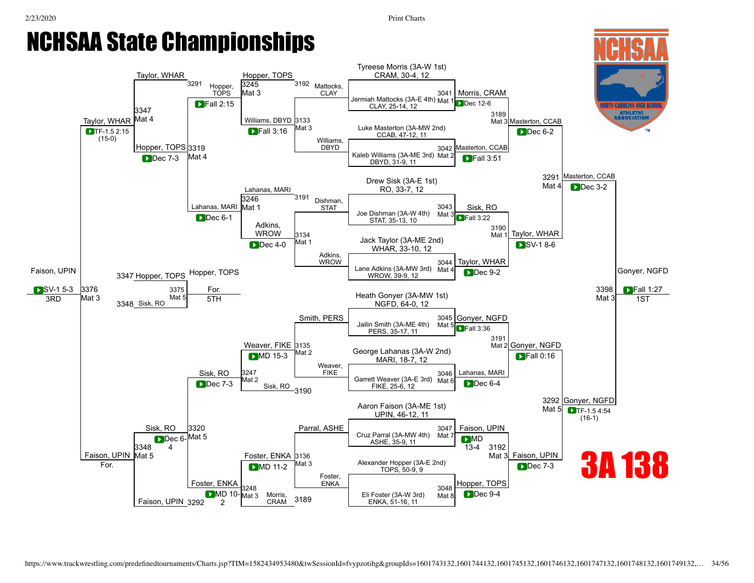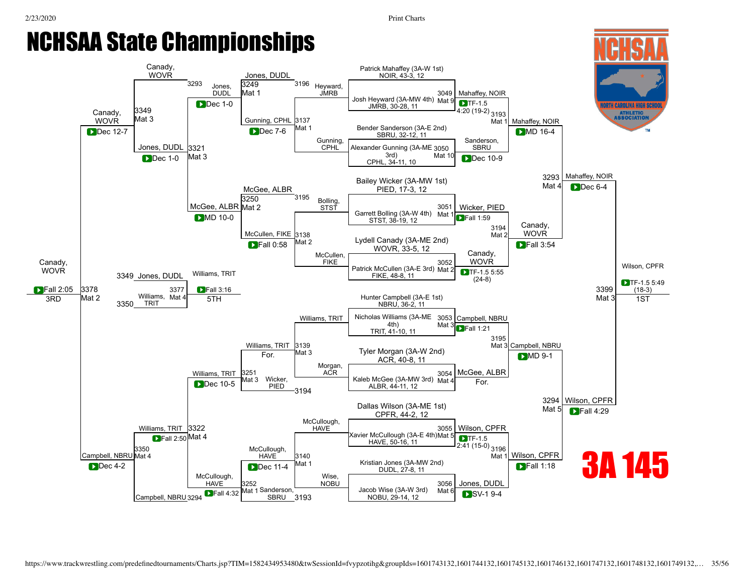### 2/23/2020 Print Charts NCHSAA State Championships [Canady](javascript:viewProfile(1097997096)), [Canady](javascript:viewProfile(1097997096)), **WOVR** 3293 Jones, DUDL Jones, DUDL <sup>3196</sup> Heyward, JMRB [3349](javascript:openBoutSheet(25,) Mat 3 [3249](javascript:openBoutSheet(18,) Mat 1

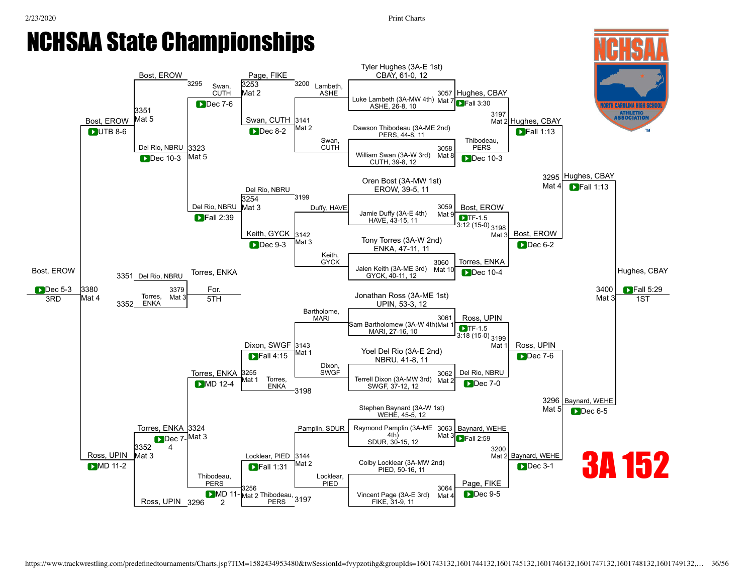1ST

#### NCHSAA State Championships Tyler [Hughes](javascript:viewProfile(794161132)) (3A-E 1st) [Bost](javascript:viewProfile(636051009)), EROW [Page](javascript:viewProfile(229932096)), FIKE CBAY, 61-0, 12 3295 [Swan](javascript:viewProfile(249703096)), [3253](javascript:openBoutSheet(18,) 3200 [Lambeth](javascript:viewProfile(1227106096)), **CUTH** Mat 2 ASHE [3057](javascript:openBoutSheet(1,) [Hughes,](javascript:viewProfile(794161132)) CBAY Luke [Lambeth](javascript:viewProfile(1227106096)) (3A-MW 4th) Mat 7<br>ASHE, 26-8, 10  $TRall 3:30$ TH CAROLINA HIGH SCI ASHE, 26-8, 10 [3351](javascript:openBoutSheet(25,) [3197](javascript:openBoutSheet(9,) **ATHLETIC**<br>ASSOCIATION Mat 5 [Bost,](javascript:viewProfile(636051009)) EROW [Swan,](javascript:viewProfile(249703096)) CUTH [3141](javascript:openBoutSheet(10,) Mat 2 [Hughes,](javascript:viewProfile(794161132)) CBAY Mat 2 Dawson [Thibodeau](javascript:viewProfile(441850132)) (3A-ME 2nd) **PUTB 8-6 PUTB 8-6 PUTB 8-6 PUTB 8-6 PUTB 8-6 PUTB 8-6 PUTB 8-6 PUTB 8-6 PUTB 8-6 PUTB 8-6 PUTB PUTB PUTB PUTB PUTB PUTB PUTB PUTB PUTB PUTB PUTB PUTB PUTB PUTB PUTB PUTB** DUTB 8-6 | Superior | Dec 8-2 Mat 2 Dawson Inibodeau (3A-ME 2nd)<br>PERS. 44-8. 11 **Dec 8-2 DFall 1:13** [Swan](javascript:viewProfile(249703096)), [Thibodeau,](javascript:viewProfile(441850132)) [Del](javascript:viewProfile(1552652096)) Rio, NBRU [3323](javascript:openBoutSheet(23,) CUTH [3058](javascript:openBoutSheet(2,)<br>Mat 8 PERS Dec 10-3 Mat 5 Mat 8 Mat 5 Dec 10-3  $\begin{bmatrix} \text{Mat } 5 \\ \text{Test } 20 \end{bmatrix}$   $\begin{bmatrix} \text{William Swan (3A-W 3r3) } \\ \text{CUTH 39-8 12} \end{bmatrix}$ **Dec** 10-3 CUTH, 39-8, 12 [3295](javascript:openBoutSheet(17,) [Hughes,](javascript:viewProfile(794161132)) CBAY Oren [Bost](javascript:viewProfile(636051009)) (3A-MW 1st) Mat 4 **D**Fall 1:13 EROW, 39-5, 11 Del [Rio,](javascript:viewProfile(1552652096)) NBRU 3199 [3254](javascript:openBoutSheet(19,) [Del](javascript:viewProfile(1552652096)) Rio, NBRU Mat 3  $\begin{array}{|c|c|c|c|c|}\n\hline\n\text{Duffy, HAVE} & \text{James} & \text{S059} & \text{Bost, EROW} \\
\hline\n\text{Duffy, HAVE} & \text{James} & \text{S059} & \text{S051, EROW} \\
\hline\n\end{array}$  $\begin{array}{|c|c|c|c|c|}\n\hline\n\text{Duffy, HAVE} & \text{James} & \text{S059} & \text{Bost, EROW} \\
\hline\n\text{Duffy, HAVE} & \text{James} & \text{S059} & \text{S051, EROW} \\
\hline\n\end{array}$  $\begin{array}{|c|c|c|c|c|}\n\hline\n\text{Duffy, HAVE} & \text{James} & \text{S059} & \text{Bost, EROW} \\
\hline\n\text{Duffy, HAVE} & \text{James} & \text{S059} & \text{S051, EROW} \\
\hline\n\end{array}$  $\begin{array}{|c|c|c|c|c|}\n\hline\n\text{Duffy, HAVE} & \text{James} & \text{S059} & \text{Bost, EROW} \\
\hline\n\text{Duffy, HAVE} & \text{James} & \text{S059} & \text{S051, EROW} \\
\hline\n\end{array}$  $\begin{array}{|c|c|c|c|c|}\n\hline\n\text{Duffy, HAVE} & \text{James} & \text{S059} & \text{Bost, EROW} \\
\hline\n\text{Duffy, HAVE} & \text{James} & \text{S059} & \text{S051, EROW} \\
\hline\n\end{array}$ [3059](javascript:openBoutSheet(3,)  $\begin{array}{|c|c|c|c|c|}\n\hline\n\text{Fall 2:39} & \text{Jame Duffy (3A-E 4th)} & \text{Mat 9}\n\hline\n\end{array}$  $\begin{array}{|c|c|c|c|c|}\n\hline\n\text{Fall 2:39} & \text{Jame Duffy (3A-E 4th)} & \text{Mat 9}\n\hline\n\end{array}$  $\begin{array}{|c|c|c|c|c|}\n\hline\n\text{Fall 2:39} & \text{Jame Duffy (3A-E 4th)} & \text{Mat 9}\n\hline\n\end{array}$  $\blacksquare$  Fall 2:39  $TF-1.5$ HAVE, 43-15, 11  $3:12$  (15-0)  $3198$ <br>Mat 3 [Keith](javascript:viewProfile(1018929096)), GYCK [3142](javascript:openBoutSheet(12,) [Bost,](javascript:viewProfile(636051009)) EROW  $\sum_{\text{DDC 9-3}}$  Mat 3  $\sum_{\text{DMC 47-11 11}}$  Tony [Torres](javascript:viewProfile(736222009)) (3A-W 2nd) Mat 3 **Dec 9-3** Dec 6-2 ENKA, 47-11, 11 [Keith,](javascript:viewProfile(1018929096)) **GYCK** [3060](javascript:openBoutSheet(4,)<br>Mat 10 [Torres](javascript:viewProfile(736222009)), ENKA Jalen [Keith](javascript:viewProfile(1018929096)) (3A-ME 3rd) Mat <sup>10</sup> [Torres](javascript:viewProfile(736222009)), ENKA [Hughes](javascript:viewProfile(794161132)), CBAY [Bost,](javascript:viewProfile(636051009)) EROW **Dec** 10-4 3351 [Del](javascript:viewProfile(1552652096)) Rio, NBRU GYCK, 40-11, 12 **D**Dec 5-3 ▶ Dec 5-3 3380  $\frac{3379}{500}$  For.  $\frac{1}{2}$  For  $\frac{1}{2}$  is the contract of 2.0 ME 1st)  $\frac{1}{2}$  3400 **D** F [3380](javascript:openBoutSheet(28,) [3379](javascript:openBoutSheet(27,)<br>Mat For. [3400](javascript:openBoutSheet(29,)  $\blacksquare$ Fall 5:29  $\frac{1}{100}$  Jonathan Ross (3A-ME 1st) Mat 4 [Torres](javascript:viewProfile(736222009)),  $3RD$  Mat  $4 \qquad 3550$  FNIXA Mat  $3 \qquad 5TH$ Mat 3 **ENKA** 3352 UPIN, 53-3, 12 [Bartholome](javascript:viewProfile(955060096)), [3061](javascript:openBoutSheet(5,) MARI Ross, UPIN Sam [Bartholomew](javascript:viewProfile(955060096)) (3A-W 4th) Mat 1  $TF-1.5$ MARI, 27-16, 10 3:18 (15-0) [3199](javascript:openBoutSheet(13,) [Dixon](javascript:viewProfile(243905132)), SWGF [3143](javascript:openBoutSheet(14,) Mat Ross, UPIN Yoel Del [Rio](javascript:viewProfile(1552652096)) (3A-E 2nd) Mat 1  $\blacksquare$ Fall 4:15  $\bullet$  Fall 4:15  $\quad$ Mat 1  $\quad$  NBRU, 41-8, 11 **Dec** 7-6 [Dixon,](javascript:viewProfile(243905132)) SWGF [Del](javascript:viewProfile(1552652096)) Rio, NBRU [Torres](javascript:viewProfile(736222009)), ENKA [3255](javascript:openBoutSheet(21,) [3062](javascript:openBoutSheet(6,)<br>Mat 2 MD 12-4 Mat 1 Torres,<br>MD 12-4 Mat 2 FNKA<br>SWGF 37-12 12 Mat 1 [Torres,](javascript:viewProfile(736222009))  $\text{SW}$ D 12-4  $\begin{bmatrix} \text{Mat 1} & \text{Iories,} \\ \text{ENKA} & \text{CASR} \end{bmatrix}$  is the swgF, 37-12, 12 Dec 7-0 ENKA 3198 [3296](javascript:openBoutSheet(20,) [Baynard](javascript:viewProfile(522992096)), WEHE Stephen [Baynard](javascript:viewProfile(522992096)) (3A-W 1st) Mat 5 **Dec 6-5** WEHE, 45-5, 12 [Torres,](javascript:viewProfile(736222009)) ENKA [3324](javascript:openBoutSheet(24,) [Pamplin,](javascript:viewProfile(1914197096)) SDUR | Raymond Pamplin (3A-ME 3063 | [Baynard](javascript:viewProfile(522992096)), WEHE 4th) Mat 3 Dec 7-Mat<sub>3</sub> Dec 7-<sup>Mat 3</sup> and 5 and 5 and 5 and 5 and 5 and 5 and 5 and 5 and 5 and 5 and 5 and 5 and 5 and 5 and 5 and 5 and 5 and 5 and 5 and 5 and 5 and 5 and 5 and 5 and 5 and 5 and 5 and 5 and 5 and 5 and 5 and 5 and 5 and 5 and **D**Fall 2:59 [3352](javascript:openBoutSheet(26,) 4 [3200](javascript:openBoutSheet(15,)<br>Mat 2 Ross, UPIN Mat 3 [Baynard,](javascript:viewProfile(522992096)) WEHE 3A 152 [Locklear,](javascript:viewProfile(1942229009)) PIED [3144](javascript:openBoutSheet(16,) Colby [Locklear](javascript:viewProfile(1942229009)) (3A-MW 2nd) Mat 2  $\bigcup_{\text{PLD}}$  MD 11-2  $\bigcup_{\text{PLD}}$  and  $\bigcup_{\text{PLD}}$  Fall 1:31  $\bigcup_{\text{MLD}}$  Mat 2  $\bigcup_{\text{PLD}}$  Colby Locklear (3A-MW 2nd) **DFall 1:31** Dec 3-1 MD 11-2 **COLOR PROPERTY ASSESS**<br>PIED, 50-16, 11 PIED, 50-16, 11 [Thibodeau,](javascript:viewProfile(441850132)) [Locklear](javascript:viewProfile(1942229009)), PERS PIED [Page,](javascript:viewProfile(229932096)) FIKE

Ross, UPIN 3296

**D**MD 11 2

Vincent [Page](javascript:viewProfile(229932096)) (3A-E 3rd) FIKE, 31-9, 11

[3064](javascript:openBoutSheet(8,) Mat 4

**D**Dec 9-5

**[3256](javascript:openBoutSheet(22,)**<br>2 **MD 11-** Mat 2 [Thibodeau](javascript:viewProfile(441850132)), 3197 Vincent Page (3A-E 3rd) Mat 4<br>2 **PERS** 3197 FIKE, 31-9, 11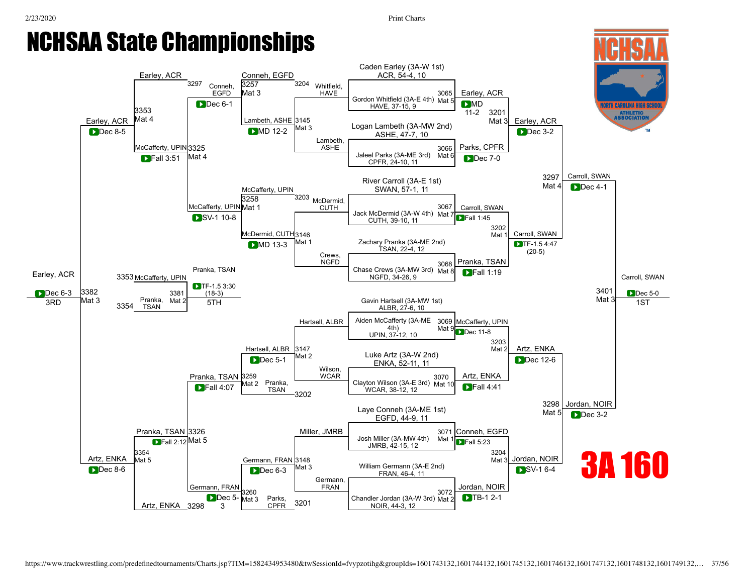

NOIR, 44-3, 12

[Artz](javascript:viewProfile(1348857096)), ENKA 3298

3

CPFR

3201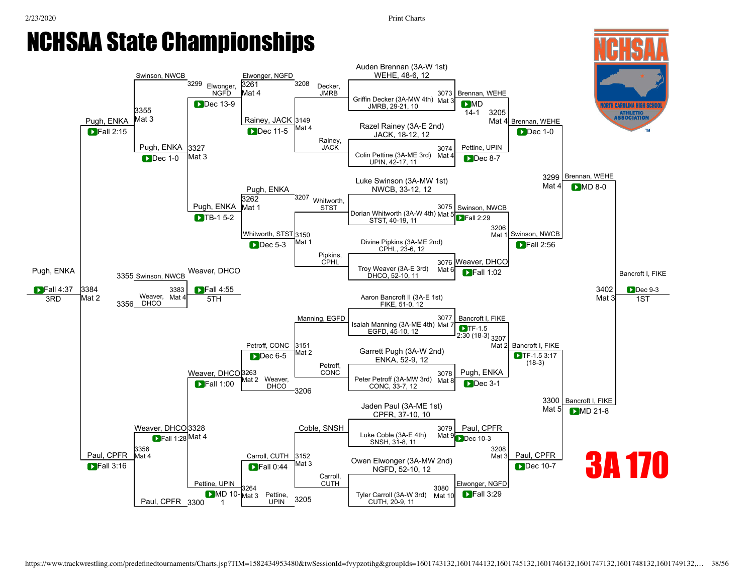#### NCHSAA State Championships Auden [Brennan](javascript:viewProfile(452033009)) (3A-W 1st) WEHE, 48-6, 12 [Swinson](javascript:viewProfile(7408076)), NWCB<br>3299 [Elwonger](javascript:viewProfile(177258132)), NGFD<br>3261 3208 [3261](javascript:openBoutSheet(18,) [Elwonger](javascript:viewProfile(177258132)), [Decker](javascript:viewProfile(1133593132)), NGFD Mat 4 JMRB [3073](javascript:openBoutSheet(1,) [Brennan,](javascript:viewProfile(452033009)) WEHE Griffin [Decker](javascript:viewProfile(1133593132)) (3A-MW 4th) Mat 3<br>
JMRB, 29-21, 10  $MID$ <br> $14-1$ TH CAROLINA HIGH SCI JMRB, 29-21, 10 [3355](javascript:openBoutSheet(25,) [3205](javascript:openBoutSheet(9,)<br>Mat 4 **ATHLETIC<br>ASSOCIATION** Mat 3 Pugh, ENKA [Rainey,](javascript:viewProfile(741926096)) JACK [3149](javascript:openBoutSheet(10,) [Brennan,](javascript:viewProfile(452033009)) WEHE Razel [Rainey](javascript:viewProfile(741926096)) (3A-E 2nd) Mat 4 **D**ec 11-5 Mat 4 Frace Native (SA-L 2 Fall 2:15  $\bigcup$  Fall 2:15  $\bigcup$   $\bigcup$   $\bigcup$   $\bigcup$   $\bigcup$  Dec 11-5  $\bigcup$  Mat 4  $\bigcup$  Razel Nalliey (JA-L 2110) **Dec** 11-5 Dec 1-0 [Rainey,](javascript:viewProfile(741926096)) Pugh, ENKA [3327](javascript:openBoutSheet(23,) JACK [3074](javascript:openBoutSheet(2,)<br>Mat 4 [Pettine,](javascript:viewProfile(441861132)) UPIN Dec 1-0 Mat 3 Colin [Pettine](javascript:viewProfile(441861132)) (3A-ME 3rd) Mat 4 Mat 3 Dec 8-7 UPIN, 42-17, 11 [3299](javascript:openBoutSheet(17,) [Brennan,](javascript:viewProfile(452033009)) WEHE Luke [Swinson](javascript:viewProfile(7408076)) (3A-MW 1st) Mat 4 **D**MD 8-0 Pugh, ENKA NWCB, 33-12, 12 <sup>3207</sup> [Whitworth](javascript:viewProfile(1377929096)), [3262](javascript:openBoutSheet(19,) Pugh, ENKA Mat 1 [3075](javascript:openBoutSheet(3,) Pugh, ENKA Mat 1 STST STST DOrian Whitworth (3A-W 4th) Mat 5 [Swinson](javascript:viewProfile(7408076)), NWCB<br>
Dorian [Whitworth](javascript:viewProfile(1377929096)) (3A-W 4th) Mat 5 STST 2:29 STST, 40-19, 11 [3206](javascript:openBoutSheet(11,)<br>Mat 1 [Whitworth](javascript:viewProfile(1377929096)), STST [3150](javascript:openBoutSheet(12,) [Swinson,](javascript:viewProfile(7408076)) NWCB Mat 1 Divine [Pipkins](javascript:viewProfile(1375451096)) (3A-ME 2nd)<br>Computer 23-6-12 Dec 5-3 **Fall 2:56** CPHL, 23-6, 12 [Pipkins](javascript:viewProfile(1375451096)), CPHL [3076](javascript:openBoutSheet(4,)<br>Mat 6 Weaver, DHCO Weaver, DHCO **Troy Weaver (3A-E 3rd)** Mat 6 Pugh, ENKA **D**Fall 1:02 Bancroft I, FIKE 3355 [Swinson](javascript:viewProfile(7408076)), NWCB DHCO, 52-10, 11  $\blacksquare$ Fall 4:37 [3384](javascript:openBoutSheet(28,) [3383](javascript:openBoutSheet(27,)<br>Mat **D**Fall 4:55 [3402](javascript:openBoutSheet(29,) **D**Dec 9-3 Mat 2 Weaver, 5TH 5TH Mat 3  $3RD$  Mat 2  $25C$  Neaver, Mat 4 5TH 1ST DHCO 3356 FIKE, 51-0, 12 [Manning](javascript:viewProfile(1608283132)), EGFD [3077](javascript:openBoutSheet(5,) Bancroft I, FIKE Isaiah [Manning](javascript:viewProfile(1608283132)) (3A-ME 4th) Mat 7  $TF-1.5$ EGFD, 45-10, 12 2:30 (18-3) [3207](javascript:openBoutSheet(13,) Petroff, CONC [3151](javascript:openBoutSheet(14,) Mat 2 Bancroft I, FIKE Garrett Pugh (3A-W 2nd) Mat 2  $\sum_{\text{Dec 6-5}}^{\text{Mac 6-5}}$  Mat 2 Galiett Fught (5A-VV 2hu) TF-1.5 3:17 (18-3) Petroff, CONC Pugh, ENKA Weaver, DHCO [3263](javascript:openBoutSheet(21,) [3078](javascript:openBoutSheet(6,)<br>Mat 8 **Peter Petroff (3A-MW 3rd)**<br> **Peter Petroff (3A-MW 3rd)** Mat 8 Mat 2 Weaver, Eall 1:00 Mat 2 Weaver,<br>CONC, 33-7, 12 Dec 3-1 DHCO 3206 [3300](javascript:openBoutSheet(20,) Bancroft I, FIKE Jaden Paul (3A-ME 1st) Mat 5 **DMD** 21-8 CPFR, 37-10, 10 Coble, SNSH | 3079 | Paul, CPFR Weaver, DHCO [3328](javascript:openBoutSheet(24,) [3079](javascript:openBoutSheet(7,) Luke Coble (3A-E 4th) Mat 9 **D** Fall 1:28 Mat 4 **Fall 1:28** Mat 9 **Fall 1:28** Mat 9 **Fall 1:28** Mat 9 **Fall 1:28** Mat 9 **Fall 1:28** Mat 9 **Fall 1:28** Mat 9 **Fall 1:28** Mat 9 **Fall 1:28** Mat 9 **Fall 1:28** Mat 9 **Fall 1:28** Mat 9 **Fall 1:28** Mat 9 Mat **Dec** 10-3 SNSH, 31-8, 11 [3356](javascript:openBoutSheet(26,) [3208](javascript:openBoutSheet(15,)<br>Mat 3 Paul, CPFR Paul, CPFR Mat 4 [Carroll,](javascript:viewProfile(1755819009)) CUTH [3152](javascript:openBoutSheet(16,) 3A 170 Owen [Elwonger](javascript:viewProfile(177258132)) (3A-MW 2nd) Mat 3 **DFall 3:16**  $\bigtriangledown$  Fall 3:16  $\bigtriangledown$  Fall 0:44  $\bigtriangleup$  Fall 0:44  $\bigtriangleup$  Fall 0:44  $\bigtriangleup$  Fall 0:44  $\bigtriangleup$  Fall 0:44  $\bigtriangleup$  Fall 0:44  $\bigtriangleup$  Fall 0:44  $\bigtriangleup$  Fall 0:44  $\bigtriangleup$  Fall 0:44  $\bigtriangleup$  Fall  $\bigtriangleup$  Fall  $\bigtriangleup$  Fall 0:44  $\bigtriangleup$  F **Dec** 10-7 **D**Fall 0:44 NGFD, 52-10, 12 [Carroll](javascript:viewProfile(1755819009)), [Pettine,](javascript:viewProfile(441861132)) UPIN **CUTH** [Elwonger,](javascript:viewProfile(177258132)) NGFD [3264](javascript:openBoutSheet(22,) [3080](javascript:openBoutSheet(8,)  $\blacksquare$ MD 10- $\blacksquare$ Mat 3 Pettine,  $\blacksquare$   $\blacksquare$   $\blacksquare$  Tyler [Carroll](javascript:viewProfile(1755819009)) (3A-W 3rd) Mat 10  $\blacksquare$  $MDP$  10- $Mat3$ [Pettine](javascript:viewProfile(441861132)), **D**Fall 3:29 Mat 10 3205 UPIN Paul, CPFR 3300 1 CUTH, 20-9, 11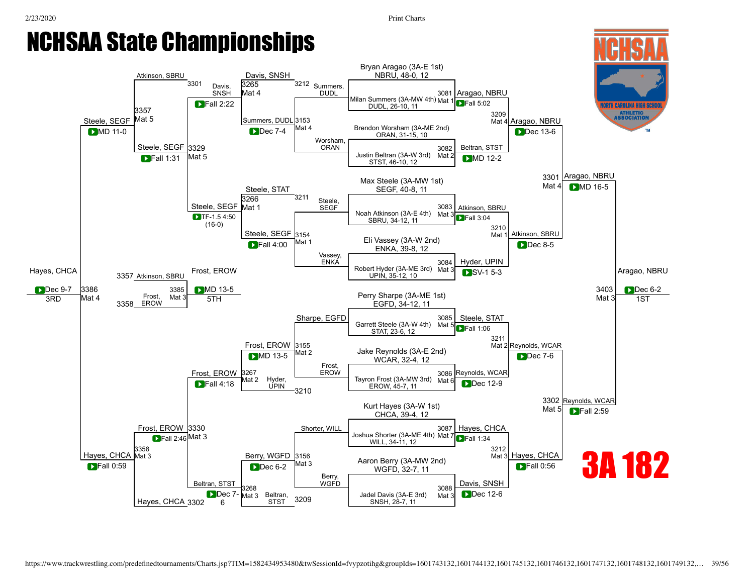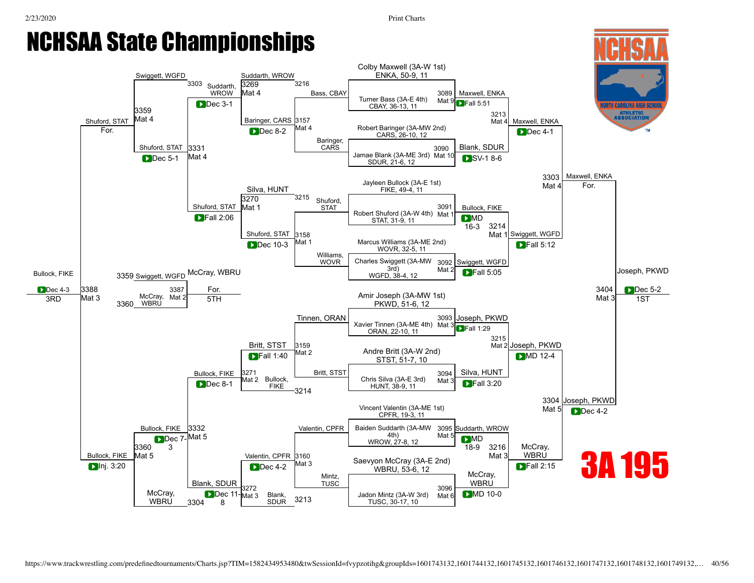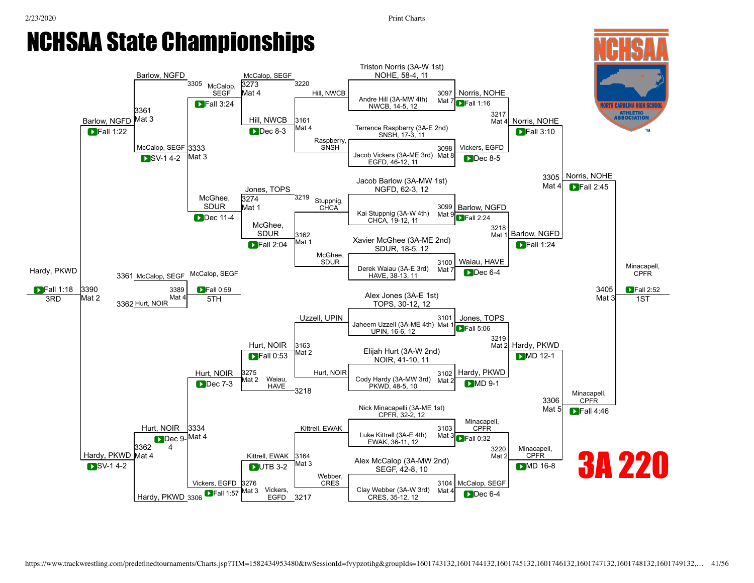1ST

#### NCHSAA State Championships Triston [Norris](javascript:viewProfile(955108096)) (3A-W 1st) NOHE, 58-4, 11 Barlow, NGFD<br>3305 McCalop, SEGF [3273](javascript:openBoutSheet(18,) 3220 McCalop, SEGF Mat 4 Hill, NWCB [3097](javascript:openBoutSheet(1,)<br>Mat 7 [Norris](javascript:viewProfile(955108096)), NOHE Andre Hill (3A-MW 4th)  $\begin{array}{|c|c|c|c|}\n\hline\n\end{array}$  Fall 3:24  $\begin{array}{|c|c|c|}\n\hline\n\end{array}$  Mode Hill (3A-MW 4th) Mat 7 **D** F  $TRall 1:16$ TH CAROLINA HIGH SCI [3361](javascript:openBoutSheet(25,) [3217](javascript:openBoutSheet(9,) **ATHLETIC**<br>ASSOCIATION Barlow, NGFD Mat 3 Hill, NWCB [3161](javascript:openBoutSheet(10,) Mat 4 [Norris](javascript:viewProfile(955108096)), NOHE Mat 4 Terrence Raspberry (3A-E 2nd) SNSH, 17-3, 11 **SNSH, 17-3, 11** SNSH, 17-3, 11 D Fall 1:22 | Some Law Contract 1 Dec 8-3 Mat 4 Ferrence Raspberry (3A-E 2nd)<br>SNSH, 17-3, 11 Dec 8-3 **DFall 3:10** Raspberry, McCalop, SEGF [3333](javascript:openBoutSheet(23,) **SNSH** [3098](javascript:openBoutSheet(2,) Vickers, EGFD SV-1 4-2 Mat 3 Jacob Vickers (3A-ME 3rd) Mat 8 Mat 3 Dec 8-5 EGFD, 46-12, 11 [3305](javascript:openBoutSheet(17,) [Norris,](javascript:viewProfile(955108096)) NOHE Jacob Barlow (3A-MW 1st) Mat 4  $\blacksquare$  Fall 2:45 [Jones,](javascript:viewProfile(1414915096)) TOPS NGFD, 62-3, 12 <sup>3219</sup> [Stuppnig](javascript:viewProfile(5723107)), McGhee. [3274](javascript:openBoutSheet(19,) SDUR Mat 1 [3099](javascript:openBoutSheet(3,) Barlow, NGFD Mat  $9$  Fall 2:24 **Example 2** Dec 11-4 CHCA. 19-12. 11 CHCA, 19-12, 11 [McGhee,](javascript:viewProfile(1688425132)) [3218](javascript:openBoutSheet(11,) SDUR [3162](javascript:openBoutSheet(12,) Mat 1 Barlow, NGFD Fall 2:04 Mat 1 Xavier [McGhee](javascript:viewProfile(1688425132)) (3A-ME 2nd) Mat 1  $\blacksquare$ Fall 2:04 **D**Fall 1:24 SDUR, 18-5, 12 [McGhee](javascript:viewProfile(1688425132)), SDUR [3100](javascript:openBoutSheet(4,)<br>Mat 7 [Waiau,](javascript:viewProfile(1162961132)) HAVE Minacapell, McCalop, SEGF **EXECUTE:** Derek [Waiau](javascript:viewProfile(1162961132)) (3A-E 3rd) Mat 7 [Hardy,](javascript:viewProfile(1331270096)) PKWD **Dec 6-4** CPFR 3361 McCalop, SEGF HAVE, 38-13, 11 **DFall 1:18** D Fall 1:18 3390 3405 3389 D Fall 0:59 2 3389 D Fall 0:59 2 3405 A Love of 2.4 F 1.11 3390 3405 D F [3390](javascript:openBoutSheet(28,) [3389](javascript:openBoutSheet(27,)<br>Mat **DFall 0:59** [3405](javascript:openBoutSheet(29,) **D**Fall 2:52 Alex [Jones](javascript:viewProfile(1414915096)) (3A-E 1st) Mat 2 Mat 3 3362 Hurt, NOIR 3RD 5TH TOPS, 30-12, 12 Uzzell, UPIN [3101](javascript:openBoutSheet(5,) [Jones](javascript:viewProfile(1414915096)), TOPS Jaheem Uzzell (3A-ME 4th) Mat 1 **D**Fall 5:06 UPIN, 16-6, 12 [3219](javascript:openBoutSheet(13,) Hurt, NOIR [3163](javascript:openBoutSheet(14,) Mat 2 [Hardy](javascript:viewProfile(1331270096)), PKWD Elijah Hurt (3A-W 2nd) Mat 2  $\blacksquare$ Fall 0:53  $\begin{array}{|c|c|c|c|c|}\n\hline\n\text{Fall 0:53} & \text{Mat 2} & \text{Eujat 1:lat (SAV 2:ld)} \\
\hline\n\text{NOIR, 41-10, 11} & & & \hline\n\end{array}$ **DMD** 12-1 Hurt, NOIR [3275](javascript:openBoutSheet(21,) Hurt, NOIR [3102](javascript:openBoutSheet(6,)<br>Mat 2 [Hardy](javascript:viewProfile(1331270096)), PKWD Mat 2 Waiau,<br>
HAVE HAVE DEC 7-3 Mat 2<br>
PKWD 48-5 10 Mat 2 [Waiau,](javascript:viewProfile(1162961132))  $\begin{array}{|c|c|c|c|c|c|}\n\hline\n\end{array}$  PKWD, 48-5, 10 **DMD** 9-1 HAVE 3218 Minacapell, [3306](javascript:openBoutSheet(20,) **CPFR** Nick Minacapelli (3A-ME 1st) Mat 5 **Fall 4:46** CPFR, 32-2, 12 Minacapell, Hurt, NOIR [3334](javascript:openBoutSheet(24,) **CPFR** [Kittrell](javascript:viewProfile(1306093132)), EWAK [3103](javascript:openBoutSheet(7,) Luke [Kittrell](javascript:viewProfile(1306093132)) (3A-E 4th) Mat 3 Dec 9-Mat 4 Dec 9-Mat 4 Control of the CONTENT CONTROL CONTROL CONTROL CONTROL CONTROL CONTROL CONTROL CONTROL CONTROL CON<br>
EWAK. 36-11. 12 **D**Fall 0:32 EWAK, 36-11, 12 [3362](javascript:openBoutSheet(26,) 4 [3220](javascript:openBoutSheet(15,) Minacapell, **CPFR** [Hardy](javascript:viewProfile(1331270096)), PKWD Mat 4 [Kittrell,](javascript:viewProfile(1306093132)) EWAK [3164](javascript:openBoutSheet(16,) Mat: 3A 220 Alex McCalop (3A-MW 2nd) Mat 3 SV-14-2 **DUTB 3-2 DMD** 16-8 SEGF, 42-8, 10 [Webber](javascript:viewProfile(1510742132)), CRES [3104](javascript:openBoutSheet(8,) McCalop, SEGF

[Hardy](javascript:viewProfile(1331270096)), PKWD 3306

Vickers, EGFD [3276](javascript:openBoutSheet(22,)

**D**Fall 1:57

Mat 3 Vickers, EGFD

Clay Webber (3A-W 3rd) Mat 4<br>EGFD 3217 CRES, 35-12, 12

Clay [Webber](javascript:viewProfile(1510742132)) (3A-W 3rd)

Mat 4